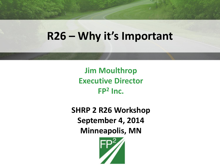#### **R26 – Why it's Important**

**Jim Moulthrop Executive Director FP<sup>2</sup> Inc.**

**SHRP 2 R26 Workshop September 4, 2014 Minneapolis, MN**

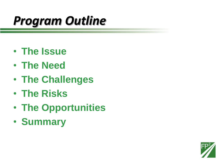#### *Program Outline*

- **The Issue**
- **The Need**
- **The Challenges**
- **The Risks**
- **The Opportunities**
- **Summary**

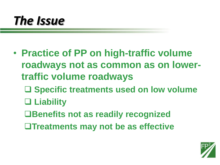#### *The Issue*

- **Practice of PP on high-traffic volume roadways not as common as on lowertraffic volume roadways**
	- **Specific treatments used on low volume**
	- **Liability**
	- **Benefits not as readily recognized**
	- **Treatments may not be as effective**

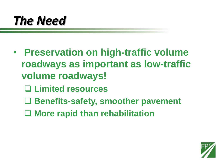#### *The Need*

- **Preservation on high-traffic volume roadways as important as low-traffic volume roadways!**
	- **Limited resources**
	- **Benefits-safety, smoother pavement**
	- **More rapid than rehabilitation**

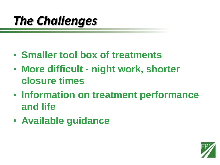### *The Challenges*

- **Smaller tool box of treatments**
- **More difficult - night work, shorter closure times**
- **Information on treatment performance and life**
- **Available guidance**

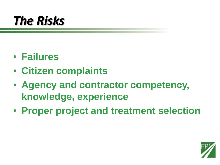#### *The Risks*

- **Failures**
- **Citizen complaints**
- **Agency and contractor competency, knowledge, experience**
- **Proper project and treatment selection**

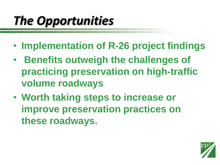## *The Opportunities*

- **Implementation of R-26 project findings**
- **Benefits outweigh the challenges of practicing preservation on high-traffic volume roadways**
- **Worth taking steps to increase or improve preservation practices on these roadways.**

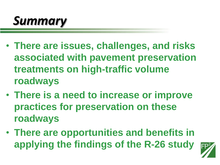

- **There are issues, challenges, and risks associated with pavement preservation treatments on high-traffic volume roadways**
- **There is a need to increase or improve practices for preservation on these roadways**
- **There are opportunities and benefits in applying the findings of the R-26 study**

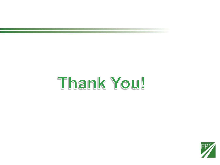# Thank You!